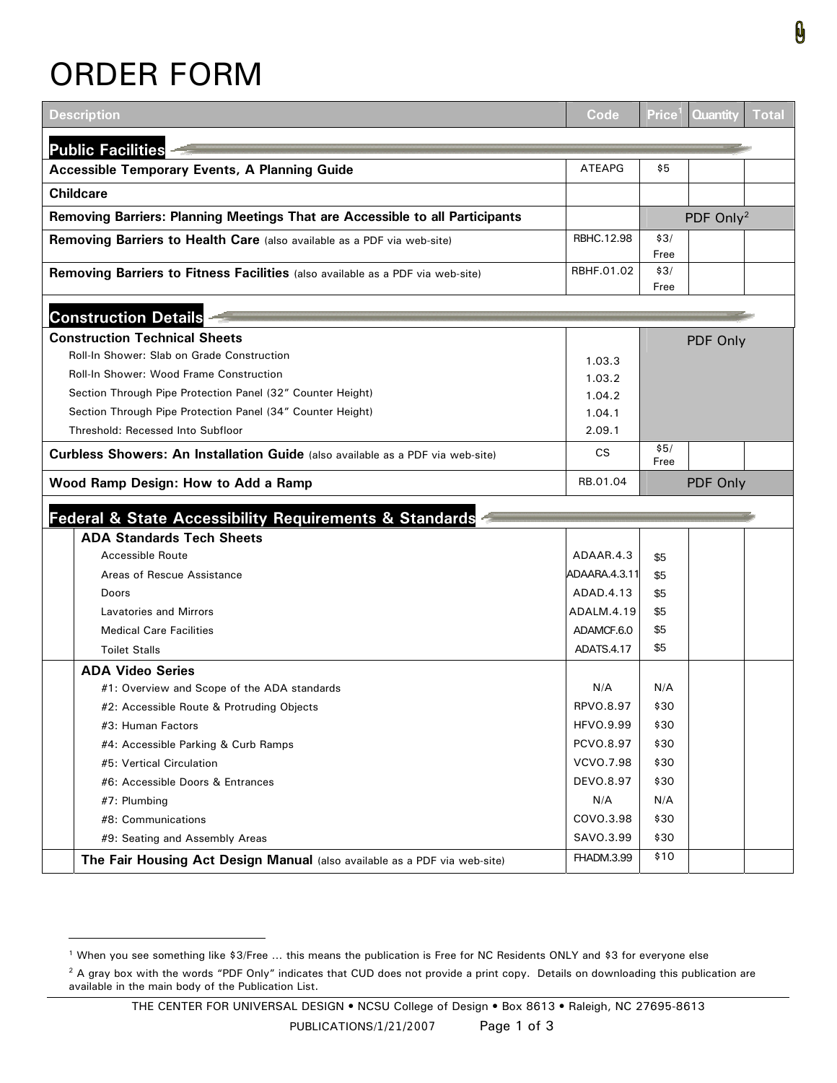## ORDER FORM

l

| <b>Description</b>                                                                    | Code              | <b>Price</b> | <b>Quantity</b>       | Total |
|---------------------------------------------------------------------------------------|-------------------|--------------|-----------------------|-------|
| <b>Public Facilities</b>                                                              |                   |              |                       |       |
| <b>Accessible Temporary Events, A Planning Guide</b>                                  | <b>ATEAPG</b>     | \$5          |                       |       |
| <b>Childcare</b>                                                                      |                   |              |                       |       |
| Removing Barriers: Planning Meetings That are Accessible to all Participants          |                   |              | PDF Only <sup>2</sup> |       |
|                                                                                       | RBHC.12.98        | \$3/         |                       |       |
| Removing Barriers to Health Care (also available as a PDF via web-site)               |                   | Free         |                       |       |
| Removing Barriers to Fitness Facilities (also available as a PDF via web-site)        | RBHF.01.02        | \$3/         |                       |       |
|                                                                                       |                   | Free         |                       |       |
| <b>Construction Details</b>                                                           |                   |              |                       |       |
| <b>Construction Technical Sheets</b>                                                  |                   |              |                       |       |
| Roll-In Shower: Slab on Grade Construction                                            |                   |              | PDF Only              |       |
| Roll-In Shower: Wood Frame Construction                                               | 1.03.3            |              |                       |       |
| Section Through Pipe Protection Panel (32" Counter Height)                            | 1.03.2<br>1.04.2  |              |                       |       |
| Section Through Pipe Protection Panel (34" Counter Height)                            | 1.04.1            |              |                       |       |
| Threshold: Recessed Into Subfloor                                                     | 2.09.1            |              |                       |       |
|                                                                                       | <b>CS</b>         | \$5/         |                       |       |
| <b>Curbless Showers: An Installation Guide</b> (also available as a PDF via web-site) |                   | Free         |                       |       |
| Wood Ramp Design: How to Add a Ramp                                                   | RB.01.04          |              | PDF Only              |       |
| Federal & State Accessibility Requirements & Standards                                |                   |              |                       |       |
| <b>ADA Standards Tech Sheets</b>                                                      |                   |              |                       |       |
| Accessible Route                                                                      | ADAAR.4.3         | \$5          |                       |       |
| Areas of Rescue Assistance                                                            | ADAARA.4.3.11     | \$5          |                       |       |
| Doors                                                                                 | ADAD.4.13         | \$5          |                       |       |
| <b>Lavatories and Mirrors</b>                                                         | ADALM.4.19        | \$5          |                       |       |
| <b>Medical Care Facilities</b>                                                        | ADAMCF.6.0        | \$5          |                       |       |
| <b>Toilet Stalls</b>                                                                  | <b>ADATS.4.17</b> | \$5          |                       |       |
| <b>ADA Video Series</b>                                                               |                   |              |                       |       |
| #1: Overview and Scope of the ADA standards                                           | N/A               | N/A          |                       |       |
| #2: Accessible Route & Protruding Objects                                             | RPV0.8.97         | \$30         |                       |       |
| #3: Human Factors                                                                     | HFVO.9.99         | \$30         |                       |       |
| #4: Accessible Parking & Curb Ramps                                                   | PCVO.8.97         | \$30         |                       |       |
| #5: Vertical Circulation                                                              | VCVO.7.98         | \$30         |                       |       |
| #6: Accessible Doors & Entrances                                                      | DEVO.8.97         | \$30         |                       |       |
| #7: Plumbing                                                                          | N/A               | N/A          |                       |       |
| #8: Communications                                                                    | COVO.3.98         | \$30         |                       |       |
| #9: Seating and Assembly Areas                                                        | SAVO.3.99         | \$30         |                       |       |
| The Fair Housing Act Design Manual (also available as a PDF via web-site)             | FHADM.3.99        | \$10         |                       |       |

<span id="page-0-0"></span><sup>1</sup> When you see something like \$3/Free … this means the publication is Free for NC Residents ONLY and \$3 for everyone else

<span id="page-0-1"></span><sup>&</sup>lt;sup>2</sup> A gray box with the words "PDF Only" indicates that CUD does not provide a print copy. Details on downloading this publication are available in the main body of the Publication List.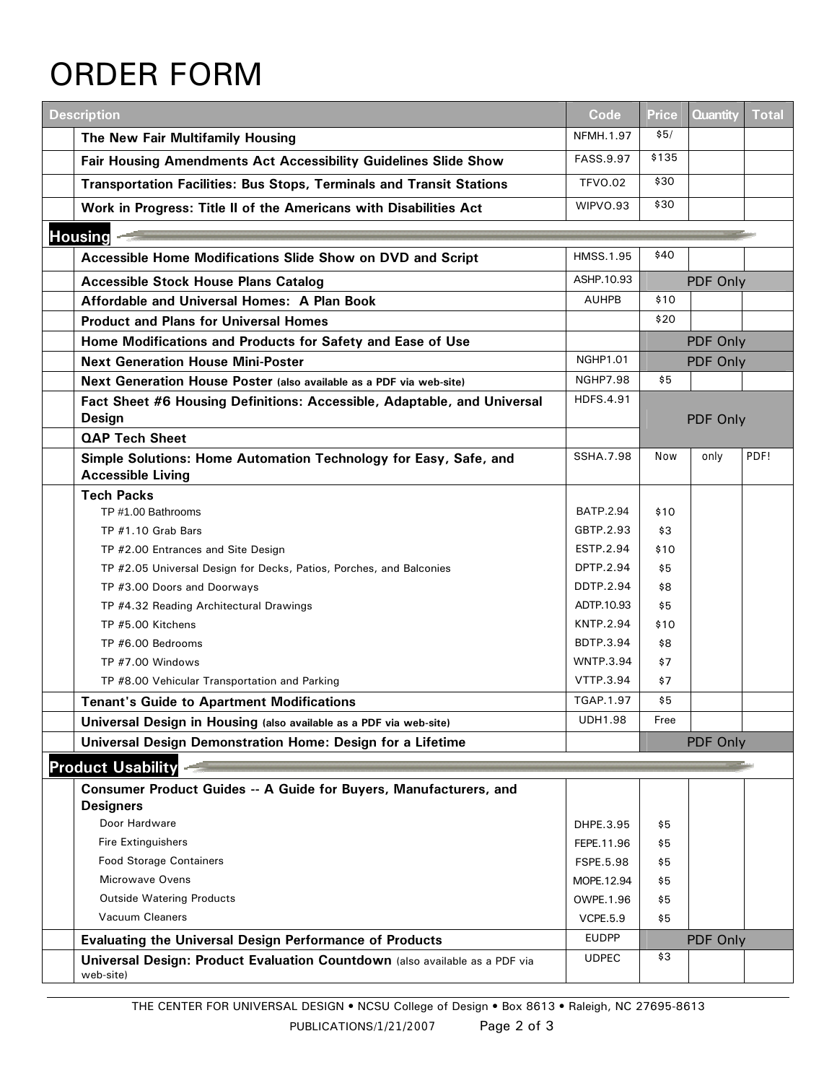## ORDER FORM

| <b>Description</b>                                                                           | Code             | <b>Price</b> | <b>Quantity</b> | <b>Total</b> |
|----------------------------------------------------------------------------------------------|------------------|--------------|-----------------|--------------|
| The New Fair Multifamily Housing                                                             | NFMH.1.97        | \$5/         |                 |              |
| Fair Housing Amendments Act Accessibility Guidelines Slide Show                              | FASS.9.97        | \$135        |                 |              |
| <b>Transportation Facilities: Bus Stops, Terminals and Transit Stations</b>                  | <b>TFVO.02</b>   | \$30         |                 |              |
| Work in Progress: Title II of the Americans with Disabilities Act                            | WIPVO.93         | \$30         |                 |              |
| <b>Housing</b>                                                                               |                  |              |                 |              |
| Accessible Home Modifications Slide Show on DVD and Script                                   | <b>HMSS.1.95</b> | \$40         |                 |              |
|                                                                                              | ASHP.10.93       |              |                 |              |
| <b>Accessible Stock House Plans Catalog</b>                                                  | <b>AUHPB</b>     | \$10         | PDF Only        |              |
| Affordable and Universal Homes: A Plan Book                                                  |                  | \$20         |                 |              |
| <b>Product and Plans for Universal Homes</b>                                                 |                  |              |                 |              |
| Home Modifications and Products for Safety and Ease of Use                                   |                  |              | PDF Only        |              |
| <b>Next Generation House Mini-Poster</b>                                                     | <b>NGHP1.01</b>  |              | PDF Only        |              |
| Next Generation House Poster (also available as a PDF via web-site)                          | <b>NGHP7.98</b>  | \$5          |                 |              |
| Fact Sheet #6 Housing Definitions: Accessible, Adaptable, and Universal                      | HDFS.4.91        |              |                 |              |
| Design<br><b>QAP Tech Sheet</b>                                                              |                  |              | PDF Only        |              |
|                                                                                              | <b>SSHA.7.98</b> | <b>Now</b>   | only            | PDF!         |
| Simple Solutions: Home Automation Technology for Easy, Safe, and<br><b>Accessible Living</b> |                  |              |                 |              |
| <b>Tech Packs</b>                                                                            |                  |              |                 |              |
| TP #1.00 Bathrooms                                                                           | <b>BATP.2.94</b> | \$10         |                 |              |
| TP #1.10 Grab Bars                                                                           | GBTP.2.93        | \$3          |                 |              |
| TP #2.00 Entrances and Site Design                                                           | ESTP.2.94        | \$10         |                 |              |
| TP #2.05 Universal Design for Decks, Patios, Porches, and Balconies                          | DPTP.2.94        | \$5          |                 |              |
| TP #3.00 Doors and Doorways                                                                  | <b>DDTP.2.94</b> | \$8          |                 |              |
| TP #4.32 Reading Architectural Drawings                                                      | ADTP.10.93       | \$5          |                 |              |
| TP #5.00 Kitchens                                                                            | <b>KNTP.2.94</b> | \$10         |                 |              |
| TP #6.00 Bedrooms                                                                            | BDTP.3.94        | \$8          |                 |              |
| TP #7.00 Windows                                                                             | <b>WNTP.3.94</b> | \$7          |                 |              |
| TP #8.00 Vehicular Transportation and Parking                                                | VTTP.3.94        | \$7          |                 |              |
| <b>Tenant's Guide to Apartment Modifications</b>                                             | TGAP.1.97        | \$5          |                 |              |
| Universal Design in Housing (also available as a PDF via web-site)                           | <b>UDH1.98</b>   | Free         |                 |              |
| Universal Design Demonstration Home: Design for a Lifetime                                   |                  |              | PDF Only        |              |
| <b>Product Usability</b>                                                                     |                  |              |                 |              |
| Consumer Product Guides -- A Guide for Buyers, Manufacturers, and<br><b>Designers</b>        |                  |              |                 |              |
| Door Hardware                                                                                | DHPE.3.95        | \$5          |                 |              |
| <b>Fire Extinguishers</b>                                                                    | FEPE.11.96       | \$5          |                 |              |
| <b>Food Storage Containers</b>                                                               | FSPE.5.98        | \$5          |                 |              |
| Microwave Ovens                                                                              | MOPE.12.94       | \$5          |                 |              |
| <b>Outside Watering Products</b>                                                             | OWPE.1.96        | \$5          |                 |              |
| Vacuum Cleaners                                                                              | <b>VCPE.5.9</b>  | \$5          |                 |              |
| <b>Evaluating the Universal Design Performance of Products</b>                               | <b>EUDPP</b>     |              | PDF Only        |              |
| Universal Design: Product Evaluation Countdown (also available as a PDF via<br>web-site)     | <b>UDPEC</b>     | \$3          |                 |              |